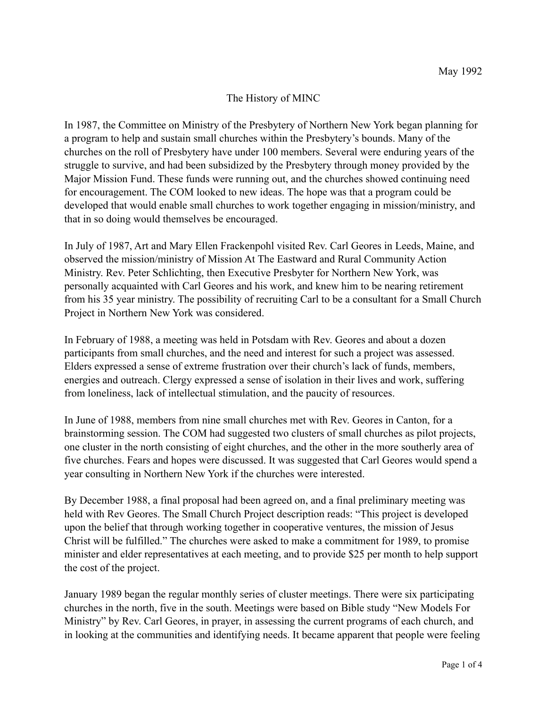## The History of MINC

In 1987, the Committee on Ministry of the Presbytery of Northern New York began planning for a program to help and sustain small churches within the Presbytery's bounds. Many of the churches on the roll of Presbytery have under 100 members. Several were enduring years of the struggle to survive, and had been subsidized by the Presbytery through money provided by the Major Mission Fund. These funds were running out, and the churches showed continuing need for encouragement. The COM looked to new ideas. The hope was that a program could be developed that would enable small churches to work together engaging in mission/ministry, and that in so doing would themselves be encouraged.

In July of 1987, Art and Mary Ellen Frackenpohl visited Rev. Carl Geores in Leeds, Maine, and observed the mission/ministry of Mission At The Eastward and Rural Community Action Ministry. Rev. Peter Schlichting, then Executive Presbyter for Northern New York, was personally acquainted with Carl Geores and his work, and knew him to be nearing retirement from his 35 year ministry. The possibility of recruiting Carl to be a consultant for a Small Church Project in Northern New York was considered.

In February of 1988, a meeting was held in Potsdam with Rev. Geores and about a dozen participants from small churches, and the need and interest for such a project was assessed. Elders expressed a sense of extreme frustration over their church's lack of funds, members, energies and outreach. Clergy expressed a sense of isolation in their lives and work, suffering from loneliness, lack of intellectual stimulation, and the paucity of resources.

In June of 1988, members from nine small churches met with Rev. Geores in Canton, for a brainstorming session. The COM had suggested two clusters of small churches as pilot projects, one cluster in the north consisting of eight churches, and the other in the more southerly area of five churches. Fears and hopes were discussed. It was suggested that Carl Geores would spend a year consulting in Northern New York if the churches were interested.

By December 1988, a final proposal had been agreed on, and a final preliminary meeting was held with Rev Geores. The Small Church Project description reads: "This project is developed upon the belief that through working together in cooperative ventures, the mission of Jesus Christ will be fulfilled." The churches were asked to make a commitment for 1989, to promise minister and elder representatives at each meeting, and to provide \$25 per month to help support the cost of the project.

January 1989 began the regular monthly series of cluster meetings. There were six participating churches in the north, five in the south. Meetings were based on Bible study "New Models For Ministry" by Rev. Carl Geores, in prayer, in assessing the current programs of each church, and in looking at the communities and identifying needs. It became apparent that people were feeling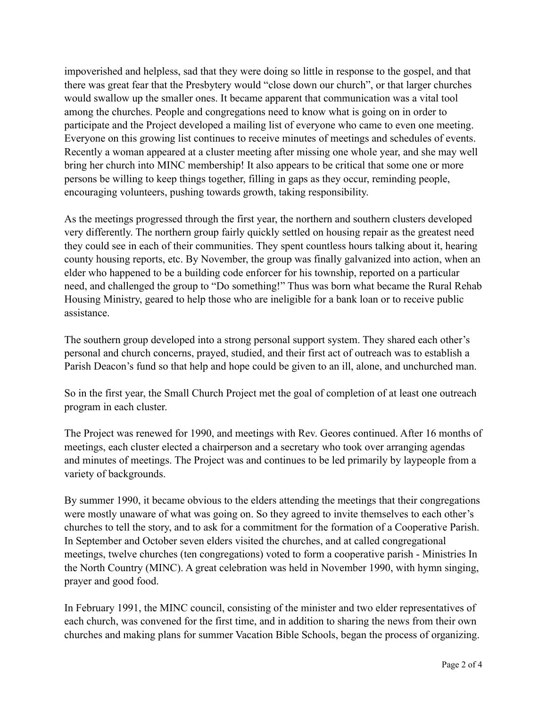impoverished and helpless, sad that they were doing so little in response to the gospel, and that there was great fear that the Presbytery would "close down our church", or that larger churches would swallow up the smaller ones. It became apparent that communication was a vital tool among the churches. People and congregations need to know what is going on in order to participate and the Project developed a mailing list of everyone who came to even one meeting. Everyone on this growing list continues to receive minutes of meetings and schedules of events. Recently a woman appeared at a cluster meeting after missing one whole year, and she may well bring her church into MINC membership! It also appears to be critical that some one or more persons be willing to keep things together, filling in gaps as they occur, reminding people, encouraging volunteers, pushing towards growth, taking responsibility.

As the meetings progressed through the first year, the northern and southern clusters developed very differently. The northern group fairly quickly settled on housing repair as the greatest need they could see in each of their communities. They spent countless hours talking about it, hearing county housing reports, etc. By November, the group was finally galvanized into action, when an elder who happened to be a building code enforcer for his township, reported on a particular need, and challenged the group to "Do something!" Thus was born what became the Rural Rehab Housing Ministry, geared to help those who are ineligible for a bank loan or to receive public assistance.

The southern group developed into a strong personal support system. They shared each other's personal and church concerns, prayed, studied, and their first act of outreach was to establish a Parish Deacon's fund so that help and hope could be given to an ill, alone, and unchurched man.

So in the first year, the Small Church Project met the goal of completion of at least one outreach program in each cluster.

The Project was renewed for 1990, and meetings with Rev. Geores continued. After 16 months of meetings, each cluster elected a chairperson and a secretary who took over arranging agendas and minutes of meetings. The Project was and continues to be led primarily by laypeople from a variety of backgrounds.

By summer 1990, it became obvious to the elders attending the meetings that their congregations were mostly unaware of what was going on. So they agreed to invite themselves to each other's churches to tell the story, and to ask for a commitment for the formation of a Cooperative Parish. In September and October seven elders visited the churches, and at called congregational meetings, twelve churches (ten congregations) voted to form a cooperative parish - Ministries In the North Country (MINC). A great celebration was held in November 1990, with hymn singing, prayer and good food.

In February 1991, the MINC council, consisting of the minister and two elder representatives of each church, was convened for the first time, and in addition to sharing the news from their own churches and making plans for summer Vacation Bible Schools, began the process of organizing.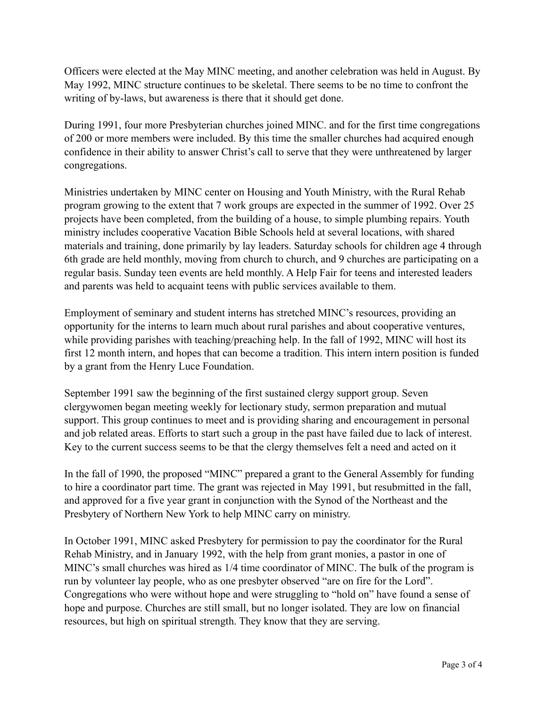Officers were elected at the May MINC meeting, and another celebration was held in August. By May 1992, MINC structure continues to be skeletal. There seems to be no time to confront the writing of by-laws, but awareness is there that it should get done.

During 1991, four more Presbyterian churches joined MINC. and for the first time congregations of 200 or more members were included. By this time the smaller churches had acquired enough confidence in their ability to answer Christ's call to serve that they were unthreatened by larger congregations.

Ministries undertaken by MINC center on Housing and Youth Ministry, with the Rural Rehab program growing to the extent that 7 work groups are expected in the summer of 1992. Over 25 projects have been completed, from the building of a house, to simple plumbing repairs. Youth ministry includes cooperative Vacation Bible Schools held at several locations, with shared materials and training, done primarily by lay leaders. Saturday schools for children age 4 through 6th grade are held monthly, moving from church to church, and 9 churches are participating on a regular basis. Sunday teen events are held monthly. A Help Fair for teens and interested leaders and parents was held to acquaint teens with public services available to them.

Employment of seminary and student interns has stretched MINC's resources, providing an opportunity for the interns to learn much about rural parishes and about cooperative ventures, while providing parishes with teaching/preaching help. In the fall of 1992, MINC will host its first 12 month intern, and hopes that can become a tradition. This intern intern position is funded by a grant from the Henry Luce Foundation.

September 1991 saw the beginning of the first sustained clergy support group. Seven clergywomen began meeting weekly for lectionary study, sermon preparation and mutual support. This group continues to meet and is providing sharing and encouragement in personal and job related areas. Efforts to start such a group in the past have failed due to lack of interest. Key to the current success seems to be that the clergy themselves felt a need and acted on it

In the fall of 1990, the proposed "MINC" prepared a grant to the General Assembly for funding to hire a coordinator part time. The grant was rejected in May 1991, but resubmitted in the fall, and approved for a five year grant in conjunction with the Synod of the Northeast and the Presbytery of Northern New York to help MINC carry on ministry.

In October 1991, MINC asked Presbytery for permission to pay the coordinator for the Rural Rehab Ministry, and in January 1992, with the help from grant monies, a pastor in one of MINC's small churches was hired as 1/4 time coordinator of MINC. The bulk of the program is run by volunteer lay people, who as one presbyter observed "are on fire for the Lord". Congregations who were without hope and were struggling to "hold on" have found a sense of hope and purpose. Churches are still small, but no longer isolated. They are low on financial resources, but high on spiritual strength. They know that they are serving.